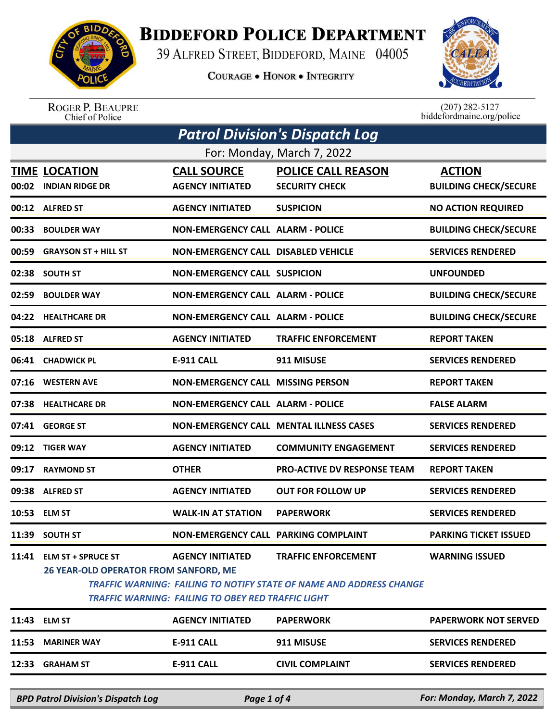

## **BIDDEFORD POLICE DEPARTMENT**

39 ALFRED STREET, BIDDEFORD, MAINE 04005

**COURAGE . HONOR . INTEGRITY** 



ROGER P. BEAUPRE<br>Chief of Police

 $(207)$  282-5127 biddefordmaine.org/police

|                            | <b>Patrol Division's Dispatch Log</b>                                                                                                                                                                                                                                                           |                                            |                                                |                              |  |  |
|----------------------------|-------------------------------------------------------------------------------------------------------------------------------------------------------------------------------------------------------------------------------------------------------------------------------------------------|--------------------------------------------|------------------------------------------------|------------------------------|--|--|
| For: Monday, March 7, 2022 |                                                                                                                                                                                                                                                                                                 |                                            |                                                |                              |  |  |
|                            | <b>TIME LOCATION</b>                                                                                                                                                                                                                                                                            | <b>CALL SOURCE</b>                         | <b>POLICE CALL REASON</b>                      | <b>ACTION</b>                |  |  |
|                            | 00:02 INDIAN RIDGE DR                                                                                                                                                                                                                                                                           | <b>AGENCY INITIATED</b>                    | <b>SECURITY CHECK</b>                          | <b>BUILDING CHECK/SECURE</b> |  |  |
|                            | 00:12 ALFRED ST                                                                                                                                                                                                                                                                                 | <b>AGENCY INITIATED</b>                    | <b>SUSPICION</b>                               | <b>NO ACTION REQUIRED</b>    |  |  |
| 00:33                      | <b>BOULDER WAY</b>                                                                                                                                                                                                                                                                              | <b>NON-EMERGENCY CALL ALARM - POLICE</b>   |                                                | <b>BUILDING CHECK/SECURE</b> |  |  |
| 00:59                      | <b>GRAYSON ST + HILL ST</b>                                                                                                                                                                                                                                                                     | <b>NON-EMERGENCY CALL DISABLED VEHICLE</b> |                                                | <b>SERVICES RENDERED</b>     |  |  |
| 02:38                      | <b>SOUTH ST</b>                                                                                                                                                                                                                                                                                 | <b>NON-EMERGENCY CALL SUSPICION</b>        |                                                | <b>UNFOUNDED</b>             |  |  |
| 02:59                      | <b>BOULDER WAY</b>                                                                                                                                                                                                                                                                              | <b>NON-EMERGENCY CALL ALARM - POLICE</b>   |                                                | <b>BUILDING CHECK/SECURE</b> |  |  |
|                            | 04:22 HEALTHCARE DR                                                                                                                                                                                                                                                                             | <b>NON-EMERGENCY CALL ALARM - POLICE</b>   |                                                | <b>BUILDING CHECK/SECURE</b> |  |  |
| 05:18                      | <b>ALFRED ST</b>                                                                                                                                                                                                                                                                                | <b>AGENCY INITIATED</b>                    | <b>TRAFFIC ENFORCEMENT</b>                     | <b>REPORT TAKEN</b>          |  |  |
| 06:41                      | <b>CHADWICK PL</b>                                                                                                                                                                                                                                                                              | <b>E-911 CALL</b>                          | 911 MISUSE                                     | <b>SERVICES RENDERED</b>     |  |  |
| 07:16                      | <b>WESTERN AVE</b>                                                                                                                                                                                                                                                                              | <b>NON-EMERGENCY CALL MISSING PERSON</b>   |                                                | <b>REPORT TAKEN</b>          |  |  |
| 07:38                      | <b>HEALTHCARE DR</b>                                                                                                                                                                                                                                                                            | <b>NON-EMERGENCY CALL ALARM - POLICE</b>   |                                                | <b>FALSE ALARM</b>           |  |  |
| 07:41                      | <b>GEORGE ST</b>                                                                                                                                                                                                                                                                                |                                            | <b>NON-EMERGENCY CALL MENTAL ILLNESS CASES</b> | <b>SERVICES RENDERED</b>     |  |  |
|                            | 09:12 TIGER WAY                                                                                                                                                                                                                                                                                 | <b>AGENCY INITIATED</b>                    | <b>COMMUNITY ENGAGEMENT</b>                    | <b>SERVICES RENDERED</b>     |  |  |
| 09:17                      | <b>RAYMOND ST</b>                                                                                                                                                                                                                                                                               | <b>OTHER</b>                               | <b>PRO-ACTIVE DV RESPONSE TEAM</b>             | <b>REPORT TAKEN</b>          |  |  |
| 09:38                      | <b>ALFRED ST</b>                                                                                                                                                                                                                                                                                | <b>AGENCY INITIATED</b>                    | <b>OUT FOR FOLLOW UP</b>                       | <b>SERVICES RENDERED</b>     |  |  |
|                            | 10:53 ELM ST                                                                                                                                                                                                                                                                                    | <b>WALK-IN AT STATION</b>                  | <b>PAPERWORK</b>                               | <b>SERVICES RENDERED</b>     |  |  |
|                            | 11:39 SOUTH ST                                                                                                                                                                                                                                                                                  | NON-EMERGENCY CALL PARKING COMPLAINT       |                                                | <b>PARKING TICKET ISSUED</b> |  |  |
| 11:41                      | <b>ELM ST + SPRUCE ST</b><br><b>AGENCY INITIATED</b><br><b>TRAFFIC ENFORCEMENT</b><br><b>WARNING ISSUED</b><br>26 YEAR-OLD OPERATOR FROM SANFORD, ME<br><b>TRAFFIC WARNING: FAILING TO NOTIFY STATE OF NAME AND ADDRESS CHANGE</b><br><b>TRAFFIC WARNING: FAILING TO OBEY RED TRAFFIC LIGHT</b> |                                            |                                                |                              |  |  |
|                            | 11:43 ELM ST                                                                                                                                                                                                                                                                                    | <b>AGENCY INITIATED</b>                    | <b>PAPERWORK</b>                               | <b>PAPERWORK NOT SERVED</b>  |  |  |
| 11:53                      | <b>MARINER WAY</b>                                                                                                                                                                                                                                                                              | <b>E-911 CALL</b>                          | 911 MISUSE                                     | <b>SERVICES RENDERED</b>     |  |  |
|                            |                                                                                                                                                                                                                                                                                                 |                                            |                                                |                              |  |  |
| 12:33                      | <b>GRAHAM ST</b>                                                                                                                                                                                                                                                                                | <b>E-911 CALL</b>                          | <b>CIVIL COMPLAINT</b>                         | <b>SERVICES RENDERED</b>     |  |  |
|                            | <b>BPD Patrol Division's Dispatch Log</b>                                                                                                                                                                                                                                                       | Page 1 of 4                                |                                                | For: Monday, March 7, 2022   |  |  |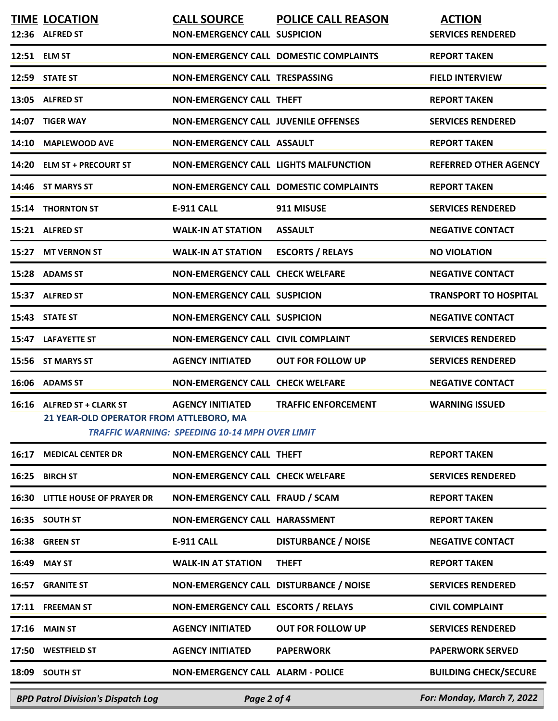| <b>BPD Patrol Division's Dispatch Log</b>                             | Page 2 of 4                                                                      |                                               | For: Monday, March 7, 2022                |
|-----------------------------------------------------------------------|----------------------------------------------------------------------------------|-----------------------------------------------|-------------------------------------------|
| 18:09 SOUTH ST                                                        | <b>NON-EMERGENCY CALL ALARM - POLICE</b>                                         |                                               | <b>BUILDING CHECK/SECURE</b>              |
| 17:50 WESTFIELD ST                                                    | <b>AGENCY INITIATED</b>                                                          | <b>PAPERWORK</b>                              | <b>PAPERWORK SERVED</b>                   |
| 17:16 MAIN ST                                                         | <b>AGENCY INITIATED</b>                                                          | <b>OUT FOR FOLLOW UP</b>                      | <b>SERVICES RENDERED</b>                  |
| 17:11 FREEMAN ST                                                      | NON-EMERGENCY CALL ESCORTS / RELAYS                                              |                                               | <b>CIVIL COMPLAINT</b>                    |
| 16:57 GRANITE ST                                                      | NON-EMERGENCY CALL DISTURBANCE / NOISE                                           |                                               | <b>SERVICES RENDERED</b>                  |
| 16:49 MAY ST                                                          | <b>WALK-IN AT STATION</b>                                                        | <b>THEFT</b>                                  | <b>REPORT TAKEN</b>                       |
| 16:38 GREEN ST                                                        | E-911 CALL                                                                       | <b>DISTURBANCE / NOISE</b>                    | <b>NEGATIVE CONTACT</b>                   |
| 16:35 SOUTH ST                                                        | NON-EMERGENCY CALL HARASSMENT                                                    |                                               | <b>REPORT TAKEN</b>                       |
| <b>16:30 LITTLE HOUSE OF PRAYER DR</b>                                | NON-EMERGENCY CALL FRAUD / SCAM                                                  |                                               | <b>REPORT TAKEN</b>                       |
| 16:25 BIRCH ST                                                        | <b>NON-EMERGENCY CALL CHECK WELFARE</b>                                          |                                               | <b>SERVICES RENDERED</b>                  |
| <b>16:17 MEDICAL CENTER DR</b>                                        | <b>NON-EMERGENCY CALL THEFT</b>                                                  |                                               | <b>REPORT TAKEN</b>                       |
| 16:16 ALFRED ST + CLARK ST<br>21 YEAR-OLD OPERATOR FROM ATTLEBORO, MA | <b>AGENCY INITIATED</b><br><b>TRAFFIC WARNING: SPEEDING 10-14 MPH OVER LIMIT</b> | <b>TRAFFIC ENFORCEMENT</b>                    | <b>WARNING ISSUED</b>                     |
| 16:06 ADAMS ST                                                        | <b>NON-EMERGENCY CALL CHECK WELFARE</b>                                          |                                               | <b>NEGATIVE CONTACT</b>                   |
| 15:56 ST MARYS ST                                                     | <b>AGENCY INITIATED</b>                                                          | <b>OUT FOR FOLLOW UP</b>                      | <b>SERVICES RENDERED</b>                  |
| 15:47 LAFAYETTE ST                                                    | <b>NON-EMERGENCY CALL CIVIL COMPLAINT</b>                                        |                                               | <b>SERVICES RENDERED</b>                  |
| 15:43 STATE ST                                                        | <b>NON-EMERGENCY CALL SUSPICION</b>                                              |                                               | <b>NEGATIVE CONTACT</b>                   |
| 15:37 ALFRED ST                                                       | <b>NON-EMERGENCY CALL SUSPICION</b>                                              |                                               | <b>TRANSPORT TO HOSPITAL</b>              |
| 15:28 ADAMS ST                                                        | <b>NON-EMERGENCY CALL CHECK WELFARE</b>                                          |                                               | <b>NEGATIVE CONTACT</b>                   |
| 15:27 MT VERNON ST                                                    | <b>WALK-IN AT STATION</b>                                                        | <b>ESCORTS / RELAYS</b>                       | <b>NO VIOLATION</b>                       |
| 15:21 ALFRED ST                                                       | <b>WALK-IN AT STATION</b>                                                        | <b>ASSAULT</b>                                | <b>NEGATIVE CONTACT</b>                   |
| 15:14 THORNTON ST                                                     | <b>E-911 CALL</b>                                                                | 911 MISUSE                                    | <b>SERVICES RENDERED</b>                  |
| 14:46 ST MARYS ST                                                     |                                                                                  | <b>NON-EMERGENCY CALL DOMESTIC COMPLAINTS</b> | <b>REPORT TAKEN</b>                       |
| 14:20 ELM ST + PRECOURT ST                                            | <b>NON-EMERGENCY CALL LIGHTS MALFUNCTION</b>                                     |                                               | <b>REFERRED OTHER AGENCY</b>              |
| 14:10 MAPLEWOOD AVE                                                   | <b>NON-EMERGENCY CALL ASSAULT</b>                                                |                                               | <b>REPORT TAKEN</b>                       |
| 14:07 TIGER WAY                                                       | <b>NON-EMERGENCY CALL JUVENILE OFFENSES</b>                                      |                                               | <b>SERVICES RENDERED</b>                  |
| 13:05 ALFRED ST                                                       | <b>NON-EMERGENCY CALL THEFT</b>                                                  |                                               | <b>REPORT TAKEN</b>                       |
| 12:59 STATE ST                                                        | <b>NON-EMERGENCY CALL TRESPASSING</b>                                            |                                               | <b>FIELD INTERVIEW</b>                    |
| 12:51 ELM ST                                                          |                                                                                  | <b>NON-EMERGENCY CALL DOMESTIC COMPLAINTS</b> | <b>REPORT TAKEN</b>                       |
| <b>TIME LOCATION</b><br>12:36 ALFRED ST                               | <b>CALL SOURCE</b><br><b>NON-EMERGENCY CALL SUSPICION</b>                        | <b>POLICE CALL REASON</b>                     | <b>ACTION</b><br><b>SERVICES RENDERED</b> |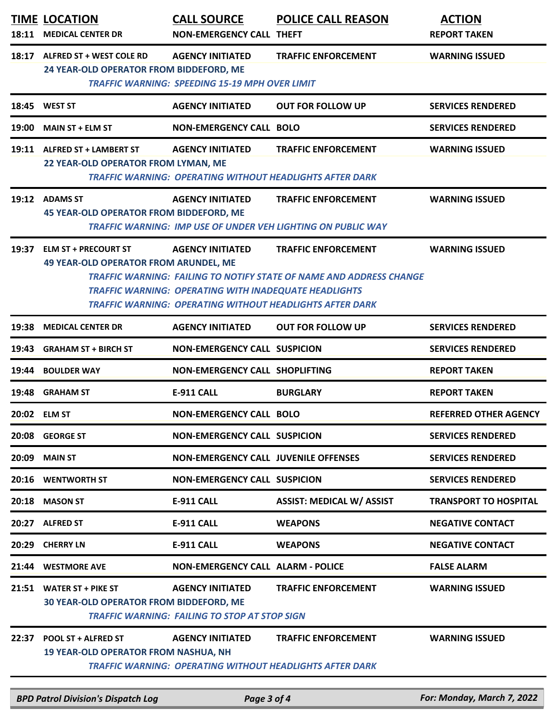| 18:11 | <b>TIME LOCATION</b><br><b>MEDICAL CENTER DR</b>                           | <b>CALL SOURCE</b><br><b>NON-EMERGENCY CALL THEFT</b>                                   | <b>POLICE CALL REASON</b>                                                                                                                                                   | <b>ACTION</b><br><b>REPORT TAKEN</b> |
|-------|----------------------------------------------------------------------------|-----------------------------------------------------------------------------------------|-----------------------------------------------------------------------------------------------------------------------------------------------------------------------------|--------------------------------------|
| 18:17 | ALFRED ST + WEST COLE RD<br>24 YEAR-OLD OPERATOR FROM BIDDEFORD, ME        | <b>AGENCY INITIATED</b><br><b>TRAFFIC WARNING: SPEEDING 15-19 MPH OVER LIMIT</b>        | <b>TRAFFIC ENFORCEMENT</b>                                                                                                                                                  | <b>WARNING ISSUED</b>                |
|       | 18:45 WEST ST                                                              | <b>AGENCY INITIATED</b>                                                                 | <b>OUT FOR FOLLOW UP</b>                                                                                                                                                    | <b>SERVICES RENDERED</b>             |
| 19:00 | <b>MAIN ST + ELM ST</b>                                                    | <b>NON-EMERGENCY CALL BOLO</b>                                                          |                                                                                                                                                                             | <b>SERVICES RENDERED</b>             |
|       | 19:11 ALFRED ST + LAMBERT ST<br>22 YEAR-OLD OPERATOR FROM LYMAN, ME        | <b>AGENCY INITIATED</b>                                                                 | <b>TRAFFIC ENFORCEMENT</b><br><b>TRAFFIC WARNING: OPERATING WITHOUT HEADLIGHTS AFTER DARK</b>                                                                               | <b>WARNING ISSUED</b>                |
| 19:12 | <b>ADAMS ST</b><br><b>45 YEAR-OLD OPERATOR FROM BIDDEFORD, ME</b>          | <b>AGENCY INITIATED</b>                                                                 | <b>TRAFFIC ENFORCEMENT</b><br><b>TRAFFIC WARNING: IMP USE OF UNDER VEH LIGHTING ON PUBLIC WAY</b>                                                                           | <b>WARNING ISSUED</b>                |
|       | 19:37 ELM ST + PRECOURT ST<br><b>49 YEAR-OLD OPERATOR FROM ARUNDEL, ME</b> | <b>AGENCY INITIATED</b><br><b>TRAFFIC WARNING: OPERATING WITH INADEQUATE HEADLIGHTS</b> | <b>TRAFFIC ENFORCEMENT</b><br><b>TRAFFIC WARNING: FAILING TO NOTIFY STATE OF NAME AND ADDRESS CHANGE</b><br><b>TRAFFIC WARNING: OPERATING WITHOUT HEADLIGHTS AFTER DARK</b> | <b>WARNING ISSUED</b>                |
| 19:38 | <b>MEDICAL CENTER DR</b>                                                   | <b>AGENCY INITIATED</b>                                                                 | <b>OUT FOR FOLLOW UP</b>                                                                                                                                                    | <b>SERVICES RENDERED</b>             |
| 19:43 | <b>GRAHAM ST + BIRCH ST</b>                                                | <b>NON-EMERGENCY CALL SUSPICION</b>                                                     |                                                                                                                                                                             | <b>SERVICES RENDERED</b>             |
| 19:44 | <b>BOULDER WAY</b>                                                         | NON-EMERGENCY CALL SHOPLIFTING                                                          |                                                                                                                                                                             | <b>REPORT TAKEN</b>                  |
| 19:48 | <b>GRAHAM ST</b>                                                           | <b>E-911 CALL</b>                                                                       | <b>BURGLARY</b>                                                                                                                                                             | <b>REPORT TAKEN</b>                  |
|       | 20:02 ELM ST                                                               | <b>NON-EMERGENCY CALL BOLO</b>                                                          |                                                                                                                                                                             | <b>REFERRED OTHER AGENCY</b>         |
|       | 20:08 GEORGE ST                                                            | <b>NON-EMERGENCY CALL SUSPICION</b>                                                     |                                                                                                                                                                             | <b>SERVICES RENDERED</b>             |
| 20:09 | <b>MAIN ST</b>                                                             | NON-EMERGENCY CALL JUVENILE OFFENSES                                                    |                                                                                                                                                                             | <b>SERVICES RENDERED</b>             |
| 20:16 | <b>WENTWORTH ST</b>                                                        | <b>NON-EMERGENCY CALL SUSPICION</b>                                                     |                                                                                                                                                                             | <b>SERVICES RENDERED</b>             |
| 20:18 | <b>MASON ST</b>                                                            | <b>E-911 CALL</b>                                                                       | <b>ASSIST: MEDICAL W/ ASSIST</b>                                                                                                                                            | <b>TRANSPORT TO HOSPITAL</b>         |
| 20:27 | <b>ALFRED ST</b>                                                           | <b>E-911 CALL</b>                                                                       | <b>WEAPONS</b>                                                                                                                                                              | <b>NEGATIVE CONTACT</b>              |
| 20:29 | <b>CHERRY LN</b>                                                           | <b>E-911 CALL</b>                                                                       | <b>WEAPONS</b>                                                                                                                                                              | <b>NEGATIVE CONTACT</b>              |
| 21:44 | <b>WESTMORE AVE</b>                                                        | <b>NON-EMERGENCY CALL ALARM - POLICE</b>                                                |                                                                                                                                                                             | <b>FALSE ALARM</b>                   |
|       | 21:51 WATER ST + PIKE ST<br><b>30 YEAR-OLD OPERATOR FROM BIDDEFORD, ME</b> | <b>AGENCY INITIATED</b><br><b>TRAFFIC WARNING: FAILING TO STOP AT STOP SIGN</b>         | <b>TRAFFIC ENFORCEMENT</b>                                                                                                                                                  | <b>WARNING ISSUED</b>                |
| 22:37 | <b>POOL ST + ALFRED ST</b><br><b>19 YEAR-OLD OPERATOR FROM NASHUA, NH</b>  | <b>AGENCY INITIATED</b>                                                                 | <b>TRAFFIC ENFORCEMENT</b><br><b>TRAFFIC WARNING: OPERATING WITHOUT HEADLIGHTS AFTER DARK</b>                                                                               | <b>WARNING ISSUED</b>                |

*BPD Patrol Division's Dispatch Log Page 3 of 4 For: Monday, March 7, 2022*